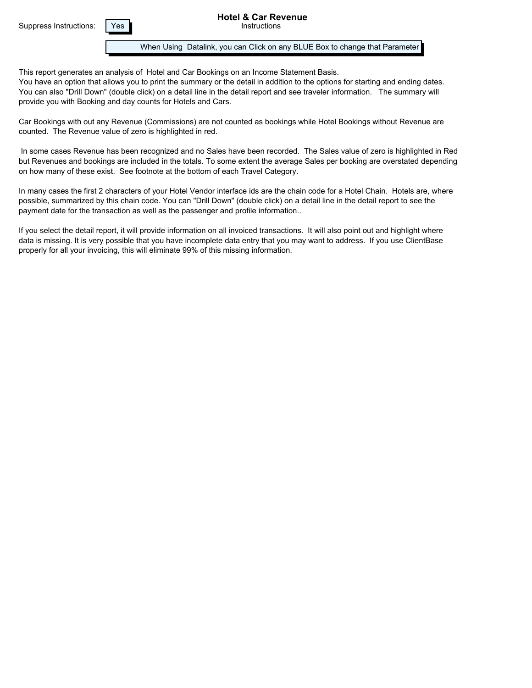Suppress Instructions: | Yes

When Using Datalink, you can Click on any BLUE Box to change that Parameter

This report generates an analysis of Hotel and Car Bookings on an Income Statement Basis. You have an option that allows you to print the summary or the detail in addition to the options for starting and ending dates. You can also "Drill Down" (double click) on a detail line in the detail report and see traveler information. The summary will provide you with Booking and day counts for Hotels and Cars.

Car Bookings with out any Revenue (Commissions) are not counted as bookings while Hotel Bookings without Revenue are counted. The Revenue value of zero is highlighted in red.

 In some cases Revenue has been recognized and no Sales have been recorded. The Sales value of zero is highlighted in Red but Revenues and bookings are included in the totals. To some extent the average Sales per booking are overstated depending on how many of these exist. See footnote at the bottom of each Travel Category.

In many cases the first 2 characters of your Hotel Vendor interface ids are the chain code for a Hotel Chain. Hotels are, where possible, summarized by this chain code. You can "Drill Down" (double click) on a detail line in the detail report to see the payment date for the transaction as well as the passenger and profile information..

If you select the detail report, it will provide information on all invoiced transactions. It will also point out and highlight where data is missing. It is very possible that you have incomplete data entry that you may want to address. If you use ClientBase properly for all your invoicing, this will eliminate 99% of this missing information.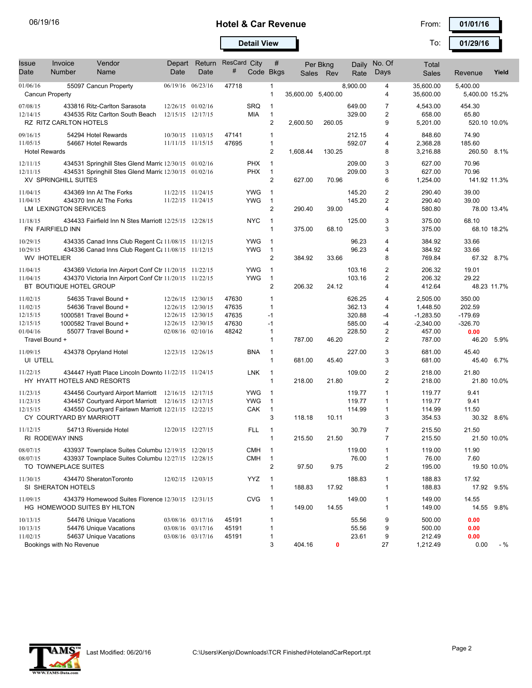## 06/19/16 **101/16 <b>Car Revenue Hotel & Car Revenue Car Revenue Prom: 101/01/16**

To:

**Detail View 100 129/16** To: 101/29/16

| Issue<br>Date                                            | Invoice<br>Number                                       | Vendor<br>Name                                                                                                                                                     | Depart<br>Date                                                                                        | Return<br>Date | ResCard City<br>#                         | Code Bkgs                              | #                                                                 |                    | Per Bkng<br>Sales Rev | Daily<br>Rate                                  | No. Of<br>Days                                                      | Total<br><b>Sales</b>                                        | Revenue                                            | Yield |
|----------------------------------------------------------|---------------------------------------------------------|--------------------------------------------------------------------------------------------------------------------------------------------------------------------|-------------------------------------------------------------------------------------------------------|----------------|-------------------------------------------|----------------------------------------|-------------------------------------------------------------------|--------------------|-----------------------|------------------------------------------------|---------------------------------------------------------------------|--------------------------------------------------------------|----------------------------------------------------|-------|
| 01/06/16<br><b>Cancun Property</b>                       |                                                         | 55097 Cancun Property                                                                                                                                              | 06/19/16 06/23/16                                                                                     |                | 47718                                     |                                        | $\mathbf{1}$<br>$\mathbf{1}$                                      | 35,600.00 5,400.00 |                       | 8,900.00                                       | 4<br>4                                                              | 35,600.00<br>35,600.00                                       | 5,400.00<br>5,400.00 15.2%                         |       |
| 07/08/15<br>12/14/15                                     | RZ RITZ CARLTON HOTELS                                  | 433816 Ritz-Carlton Sarasota<br>434535 Ritz Carlton South Beach                                                                                                    | 12/26/15 01/02/16<br>12/15/15 12/17/15                                                                |                |                                           | <b>SRQ</b><br>MIA                      | $\mathbf{1}$<br>$\mathbf{1}$<br>$\overline{c}$                    | 2,600.50           | 260.05                | 649.00<br>329.00                               | 7<br>2<br>9                                                         | 4,543.00<br>658.00<br>5,201.00                               | 454.30<br>65.80<br>520.10 10.0%                    |       |
| 09/16/15<br>11/05/15<br><b>Hotel Rewards</b>             |                                                         | 54294 Hotel Rewards<br>54667 Hotel Rewards                                                                                                                         | 10/30/15 11/03/15<br>11/11/15 11/15/15                                                                |                | 47141<br>47695                            |                                        | 1<br>$\mathbf{1}$<br>$\overline{2}$                               | 1,608.44           | 130.25                | 212.15<br>592.07                               | 4<br>4<br>8                                                         | 848.60<br>2,368.28<br>3,216.88                               | 74.90<br>185.60<br>260.50                          | 8.1%  |
| 12/11/15<br>12/11/15                                     | XV SPRINGHILL SUITES                                    | 434531 Springhill Stes Glend Marric 12/30/15 01/02/16<br>434531 Springhill Stes Glend Marric 12/30/15 01/02/16                                                     |                                                                                                       |                |                                           | <b>PHX</b><br><b>PHX</b>               | $\mathbf{1}$<br>$\mathbf{1}$<br>$\overline{c}$                    | 627.00             | 70.96                 | 209.00<br>209.00                               | 3<br>3<br>6                                                         | 627.00<br>627.00<br>1,254.00                                 | 70.96<br>70.96<br>141.92 11.3%                     |       |
| 11/04/15<br>11/04/15                                     | LM LEXINGTON SERVICES                                   | 434369 Inn At The Forks<br>434370 Inn At The Forks                                                                                                                 | 11/22/15 11/24/15<br>11/22/15 11/24/15                                                                |                |                                           | <b>YWG</b><br><b>YWG</b>               | $\mathbf 1$<br>$\mathbf{1}$<br>$\overline{2}$                     | 290.40             | 39.00                 | 145.20<br>145.20                               | $\overline{2}$<br>$\overline{2}$<br>4                               | 290.40<br>290.40<br>580.80                                   | 39.00<br>39.00<br>78.00 13.4%                      |       |
| 11/18/15                                                 | FN FAIRFIELD INN                                        | 434433 Fairfield Inn N Stes Marriott 12/25/15 12/28/15                                                                                                             |                                                                                                       |                |                                           | <b>NYC</b>                             | $\mathbf 1$<br>$\mathbf{1}$                                       | 375.00             | 68.10                 | 125.00                                         | 3<br>3                                                              | 375.00<br>375.00                                             | 68.10<br>68.10 18.2%                               |       |
| 10/29/15<br>10/29/15<br><b>WV IHOTELIER</b>              |                                                         | 434335 Canad Inns Club Regent C: 11/08/15 11/12/15<br>434336 Canad Inns Club Regent Ct 11/08/15 11/12/15                                                           |                                                                                                       |                |                                           | <b>YWG</b><br><b>YWG</b>               | 1<br>$\mathbf 1$<br>$\overline{2}$                                | 384.92             | 33.66                 | 96.23<br>96.23                                 | 4<br>4<br>8                                                         | 384.92<br>384.92<br>769.84                                   | 33.66<br>33.66<br>67.32 8.7%                       |       |
| 11/04/15<br>11/04/15                                     | BT BOUTIQUE HOTEL GROUP                                 | 434369 Victoria Inn Airport Conf Ctr 11/20/15 11/22/15<br>434370 Victoria Inn Airport Conf Ctr 11/20/15 11/22/15                                                   |                                                                                                       |                |                                           | <b>YWG</b><br><b>YWG</b>               | $\mathbf{1}$<br>$\mathbf{1}$<br>$\overline{2}$                    | 206.32             | 24.12                 | 103.16<br>103.16                               | $\overline{\mathbf{c}}$<br>2<br>4                                   | 206.32<br>206.32<br>412.64                                   | 19.01<br>29.22<br>48.23 11.7%                      |       |
| 11/02/15<br>11/02/15<br>12/15/15<br>12/15/15<br>01/04/16 |                                                         | 54635 Travel Bound +<br>54636 Travel Bound +<br>1000581 Travel Bound +<br>1000582 Travel Bound +<br>55077 Travel Bound +                                           | 12/26/15 12/30/15<br>12/26/15 12/30/15<br>12/26/15 12/30/15<br>12/26/15 12/30/15<br>02/08/16 02/10/16 |                | 47630<br>47635<br>47635<br>47630<br>48242 |                                        | 1<br>1<br>$-1$<br>$-1$<br>1                                       |                    |                       | 626.25<br>362.13<br>320.88<br>585.00<br>228.50 | 4<br>4<br>$-4$<br>-4<br>$\overline{2}$                              | 2,505.00<br>1,448.50<br>$-1,283.50$<br>$-2,340.00$<br>457.00 | 350.00<br>202.59<br>$-179.69$<br>$-326.70$<br>0.00 |       |
| Travel Bound +<br>11/09/15                               |                                                         | 434378 Opryland Hotel                                                                                                                                              | 12/23/15 12/26/15                                                                                     |                |                                           | <b>BNA</b>                             | $\mathbf{1}$<br>$\mathbf{1}$                                      | 787.00             | 46.20                 | 227.00                                         | 2<br>3                                                              | 787.00<br>681.00                                             | 46.20<br>45.40                                     | 5.9%  |
| UI UTELL<br>11/22/15                                     |                                                         | 434447 Hyatt Place Lincoln Downto 11/22/15 11/24/15                                                                                                                |                                                                                                       |                |                                           | LNK                                    | $\mathbf{1}$<br>$\mathbf{1}$                                      | 681.00             | 45.40                 | 109.00                                         | 3<br>$\overline{2}$                                                 | 681.00<br>218.00                                             | 45.40<br>21.80                                     | 6.7%  |
| 11/23/15<br>11/23/15<br>12/15/15                         | HY HYATT HOTELS AND RESORTS<br>CY COURTYARD BY MARRIOTT | 434456 Courtyard Airport Marriott 12/16/15 12/17/15<br>434457 Courtyard Airport Marriott 12/16/15 12/17/15<br>434550 Courtyard Fairlawn Marriott 12/21/15 12/22/15 |                                                                                                       |                |                                           | <b>YWG</b><br><b>YWG</b><br><b>CAK</b> | $\mathbf{1}$<br>$\mathbf{1}$<br>$\mathbf{1}$<br>$\mathbf{1}$<br>3 | 218.00<br>118.18   | 21.80<br>10.11        | 119.77<br>119.77<br>114.99                     | $\overline{2}$<br>$\mathbf{1}$<br>$\mathbf{1}$<br>$\mathbf{1}$<br>3 | 218.00<br>119.77<br>119.77<br>114.99<br>354.53               | 21.80 10.0%<br>9.41<br>9.41<br>11.50<br>30.32 8.6% |       |
| 11/12/15                                                 | RI RODEWAY INNS                                         | 54713 Riverside Hotel                                                                                                                                              | 12/20/15 12/27/15                                                                                     |                |                                           | <b>FLL</b>                             | $\mathbf{1}$<br>$\mathbf{1}$                                      | 215.50             | 21.50                 | 30.79                                          | $\overline{7}$<br>$\overline{7}$                                    | 215.50<br>215.50                                             | 21.50<br>21.50 10.0%                               |       |
| 08/07/15<br>08/07/15                                     | TO TOWNEPLACE SUITES                                    | 433937 Townplace Suites Columbu 12/19/15 12/20/15<br>433937 Townplace Suites Columbu 12/27/15 12/28/15                                                             |                                                                                                       |                |                                           | <b>CMH</b><br><b>CMH</b>               | $\mathbf{1}$<br>$\mathbf{1}$<br>$\overline{c}$                    | 97.50              | 9.75                  | 119.00<br>76.00                                | $\mathbf{1}$<br>1<br>2                                              | 119.00<br>76.00<br>195.00                                    | 11.90<br>7.60<br>19.50 10.0%                       |       |
| 11/30/15                                                 | SI SHERATON HOTELS                                      | 434470 SheratonToronto                                                                                                                                             | 12/02/15 12/03/15                                                                                     |                |                                           | YYZ                                    | $\overline{1}$<br>$\mathbf{1}$                                    | 188.83             | 17.92                 | 188.83                                         | 1<br>$\mathbf{1}$                                                   | 188.83<br>188.83                                             | 17.92<br>17.92 9.5%                                |       |
| 11/09/15                                                 |                                                         | 434379 Homewood Suites Florence 12/30/15 12/31/15<br>HG HOMEWOOD SUITES BY HILTON                                                                                  |                                                                                                       |                |                                           | <b>CVG</b>                             | $\overline{1}$<br>$\mathbf{1}$                                    | 149.00             | 14.55                 | 149.00                                         | 1<br>1                                                              | 149.00<br>149.00                                             | 14.55<br>14.55 9.8%                                |       |
| 10/13/15<br>10/13/15<br>11/02/15                         | Bookings with No Revenue                                | 54476 Unique Vacations<br>54476 Unique Vacations<br>54637 Unique Vacations                                                                                         | 03/08/16 03/17/16<br>03/08/16 03/17/16<br>03/08/16 03/17/16                                           |                | 45191<br>45191<br>45191                   |                                        | 1<br>1<br>1<br>3                                                  | 404.16             | 0                     | 55.56<br>55.56<br>23.61                        | 9<br>9<br>9<br>27                                                   | 500.00<br>500.00<br>212.49<br>1,212.49                       | 0.00<br>0.00<br>0.00<br>0.00                       | $-$ % |

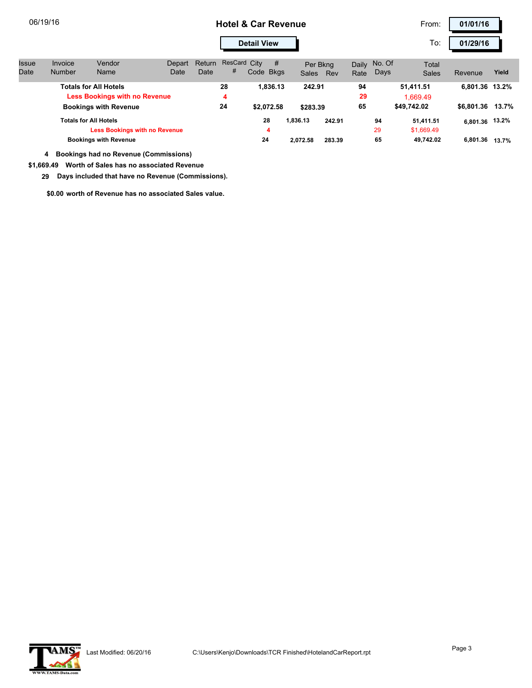## 06/19/16 **101/16 <b>Car Revenue Hotel & Car Revenue Car Revenue Prom: 101/01/16**

To:

**Detail View 120 129/16** To: 1 01/29/16

| Issue | Invoice                                                                                                                                      | Vendor                                       | Depart | <b>Return</b> | ResCard City |                       | #        | Per Bkna                       |        | Daily | No. Of      | Total        |                  |       |
|-------|----------------------------------------------------------------------------------------------------------------------------------------------|----------------------------------------------|--------|---------------|--------------|-----------------------|----------|--------------------------------|--------|-------|-------------|--------------|------------------|-------|
| Date  | <b>Number</b>                                                                                                                                | Name                                         | Date   | Date          | #            | Code Bkgs             |          | Sales                          | Rev    | Rate  | Days        | <b>Sales</b> | Revenue          | Yield |
|       | Totals for All Hotels                                                                                                                        |                                              |        |               | 28           |                       | 1.836.13 | 242.91                         |        | 94    |             | 51,411.51    | 6.801.36 13.2%   |       |
|       | <b>Less Bookings with no Revenue</b><br><b>Bookings with Revenue</b><br><b>Totals for All Hotels</b><br><b>Less Bookings with no Revenue</b> |                                              |        |               | 4            |                       |          |                                |        | 29    | 1.669.49    |              |                  |       |
|       |                                                                                                                                              |                                              |        |               | 24           | \$2.072.58<br>28<br>4 |          | \$283.39<br>1.836.13<br>242.91 |        | 65    | \$49,742.02 |              | \$6.801.36 13.7% |       |
|       |                                                                                                                                              |                                              |        |               |              |                       |          |                                |        |       | 94          | 51.411.51    | 6,801.36 13.2%   |       |
|       |                                                                                                                                              |                                              |        |               |              |                       |          |                                |        |       | 29          | \$1,669.49   |                  |       |
|       |                                                                                                                                              | <b>Bookings with Revenue</b>                 |        |               |              | 24                    |          | 2.072.58                       | 283.39 |       | 65          | 49.742.02    | 6,801.36 13,7%   |       |
|       | 4                                                                                                                                            | <b>Bookings had no Revenue (Commissions)</b> |        |               |              |                       |          |                                |        |       |             |              |                  |       |

**\$1,669.49 Worth of Sales has no associated Revenue**

 **29 Days included that have no Revenue (Commissions).**

**\$0.00 worth of Revenue has no associated Sales value.**